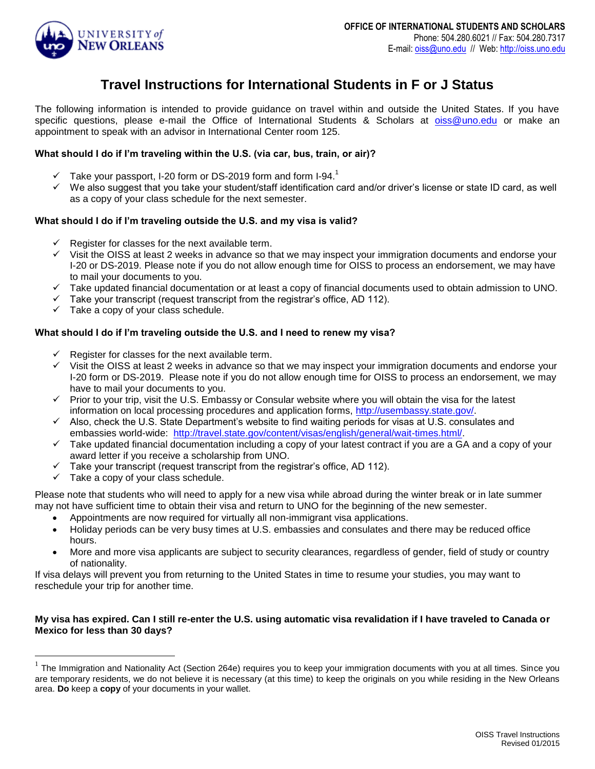

# **Travel Instructions for International Students in F or J Status**

The following information is intended to provide guidance on travel within and outside the United States. If you have specific questions, please e-mail the Office of International Students & Scholars at **[oiss@uno.edu](mailto:oiss@uno.edu)** or make an appointment to speak with an advisor in International Center room 125.

#### **What should I do if I'm traveling within the U.S. (via car, bus, train, or air)?**

- $\checkmark$  Take your passport, I-20 form or DS-2019 form and form I-94.<sup>1</sup>
- $\checkmark$  We also suggest that you take your student/staff identification card and/or driver's license or state ID card, as well as a copy of your class schedule for the next semester.

## **What should I do if I'm traveling outside the U.S. and my visa is valid?**

- Register for classes for the next available term.
- Visit the OISS at least 2 weeks in advance so that we may inspect your immigration documents and endorse your I-20 or DS-2019. Please note if you do not allow enough time for OISS to process an endorsement, we may have to mail your documents to you.
- $\checkmark$  Take updated financial documentation or at least a copy of financial documents used to obtain admission to UNO.
- $\checkmark$  Take your transcript (request transcript from the registrar's office, AD 112).
- $\checkmark$  Take a copy of your class schedule.

## **What should I do if I'm traveling outside the U.S. and I need to renew my visa?**

- Register for classes for the next available term.
- $\checkmark$  Visit the OISS at least 2 weeks in advance so that we may inspect your immigration documents and endorse your I-20 form or DS-2019. Please note if you do not allow enough time for OISS to process an endorsement, we may have to mail your documents to you.
- $\checkmark$  Prior to your trip, visit the U.S. Embassy or Consular website where you will obtain the visa for the latest information on local processing procedures and application forms, [http://usembassy.state.gov/.](http://usembassy.state.gov/)
- $\checkmark$  Also, check the U.S. State Department's website to find waiting periods for visas at U.S. consulates and embassies world-wide: [http://travel.state.gov/content/visas/english/general/wait-times.html/.](http://travel.state.gov/content/visas/english/general/wait-times.html/)
- $\checkmark$  Take updated financial documentation including a copy of your latest contract if you are a GA and a copy of your award letter if you receive a scholarship from UNO.
- $\checkmark$  Take your transcript (request transcript from the registrar's office, AD 112).
- $\checkmark$  Take a copy of your class schedule.

 $\overline{a}$ 

Please note that students who will need to apply for a new visa while abroad during the winter break or in late summer may not have sufficient time to obtain their visa and return to UNO for the beginning of the new semester.

- Appointments are now required for virtually all non-immigrant visa applications.
- Holiday periods can be very busy times at U.S. embassies and consulates and there may be reduced office hours.
- More and more visa applicants are subject to security clearances, regardless of gender, field of study or country of nationality.

If visa delays will prevent you from returning to the United States in time to resume your studies, you may want to reschedule your trip for another time.

## **My visa has expired. Can I still re-enter the U.S. using automatic visa revalidation if I have traveled to Canada or Mexico for less than 30 days?**

 $1$  The Immigration and Nationality Act (Section 264e) requires you to keep your immigration documents with you at all times. Since you are temporary residents, we do not believe it is necessary (at this time) to keep the originals on you while residing in the New Orleans area. **Do** keep a **copy** of your documents in your wallet.